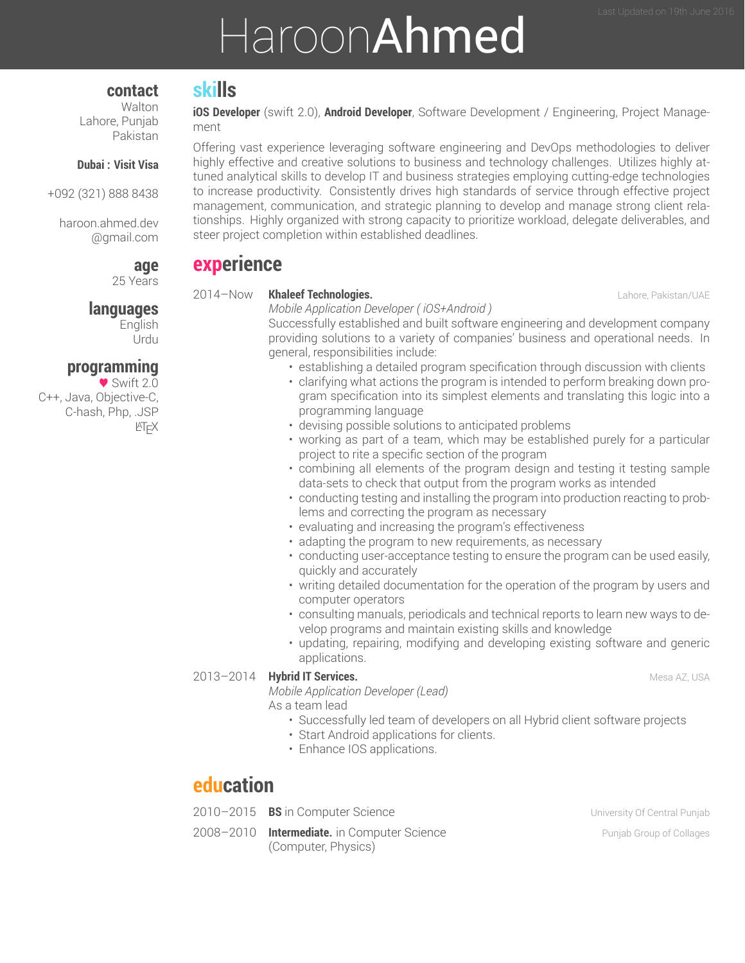# HaroonAhmed

## **contact**

**skills**

ment

Walton Lahore, Punjab Pakistan

**Dubai : Visit Visa**

+092 (321) 888 8438

haroon.ahmed.dev @gmail.com

**age**

25 Years

#### 2014–Now **Khaleef Technologies.** Lahore, Pakistan/UAE

**languages** English Urdu

### **programming**

● Swift 2.0 C++, Java, Objective-C, C-hash, Php, .JSP LATEX **experience**

steer project completion within established deadlines.

*Mobile Application Developer ( iOS+Android )*

Successfully established and built software engineering and development company providing solutions to a variety of companies' business and operational needs. In general, responsibilities include:

- establishing a detailed program specification through discussion with clients
- clarifying what actions the program is intended to perform breaking down program specification into its simplest elements and translating this logic into a programming language
- devising possible solutions to anticipated problems

**iOS Developer** (swift 2.0), **Android Developer**, Software Development / Engineering, Project Manage-

Offering vast experience leveraging software engineering and DevOps methodologies to deliver highly effective and creative solutions to business and technology challenges. Utilizes highly attuned analytical skills to develop IT and business strategies employing cutting-edge technologies to increase productivity. Consistently drives high standards of service through effective project management, communication, and strategic planning to develop and manage strong client relationships. Highly organized with strong capacity to prioritize workload, delegate deliverables, and

- working as part of a team, which may be established purely for a particular project to rite a specific section of the program
- combining all elements of the program design and testing it testing sample data-sets to check that output from the program works as intended
- conducting testing and installing the program into production reacting to problems and correcting the program as necessary
- evaluating and increasing the program's effectiveness
- adapting the program to new requirements, as necessary
- conducting user-acceptance testing to ensure the program can be used easily, quickly and accurately
- writing detailed documentation for the operation of the program by users and computer operators
- consulting manuals, periodicals and technical reports to learn new ways to develop programs and maintain existing skills and knowledge
- updating, repairing, modifying and developing existing software and generic applications.

#### 2013–2014 **Hybrid IT Services.** Mesa AZ, USA

*Mobile Application Developer (Lead)*

As a team lead

- Successfully led team of developers on all Hybrid client software projects
- Start Android applications for clients.
- Enhance IOS applications.

# **education**

- 2010–2015 **BS** in Computer Science **Discussed Bundet Contral Punjab** University Of Central Punjab
- 2008–2010 **Intermediate.** in Computer Science **Punish Group of Collages** Punjab Group of Collages (Computer, Physics)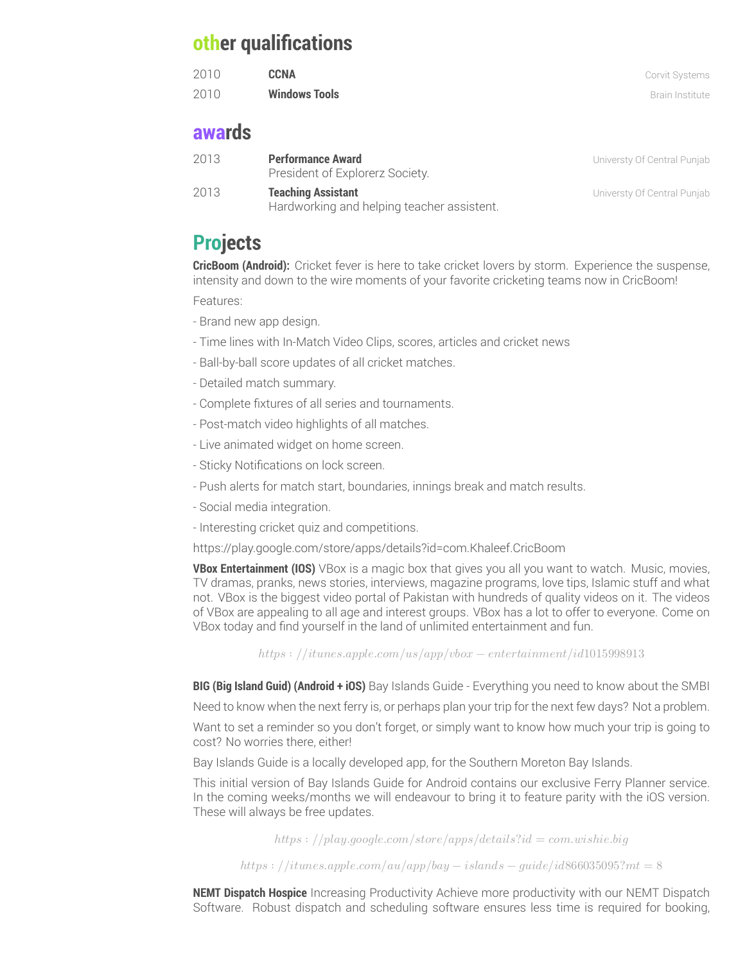# **other qualifications**

| 2010 | <b>CCNA</b>          |  | <b>Corvit Systems</b> |
|------|----------------------|--|-----------------------|
| 2010 | <b>Windows Tools</b> |  | Brain Institute       |
|      |                      |  |                       |

## **awards**

| 2013 | <b>Performance Award</b><br>President of Explorerz Society.             | Universty Of Central Punjab |
|------|-------------------------------------------------------------------------|-----------------------------|
| 2013 | <b>Teaching Assistant</b><br>Hardworking and helping teacher assistent. | Universty Of Central Punjab |

# **Projects**

**CricBoom (Android):** Cricket fever is here to take cricket lovers by storm. Experience the suspense, intensity and down to the wire moments of your favorite cricketing teams now in CricBoom!

Features:

- Brand new app design.
- Time lines with In-Match Video Clips, scores, articles and cricket news
- Ball-by-ball score updates of all cricket matches.
- Detailed match summary.
- Complete fixtures of all series and tournaments.
- Post-match video highlights of all matches.
- Live animated widget on home screen.
- Sticky Notifications on lock screen.
- Push alerts for match start, boundaries, innings break and match results.
- Social media integration.
- Interesting cricket quiz and competitions.

https://play.google.com/store/apps/details?id=com.Khaleef.CricBoom

**VBox Entertainment (IOS)** VBox is a magic box that gives you all you want to watch. Music, movies, TV dramas, pranks, news stories, interviews, magazine programs, love tips, Islamic stuff and what not. VBox is the biggest video portal of Pakistan with hundreds of quality videos on it. The videos of VBox are appealing to all age and interest groups. VBox has a lot to offer to everyone. Come on VBox today and find yourself in the land of unlimited entertainment and fun.

 $https://i-tunes.apple.com/us/app/vbox-entertainment/id1015998913$ 

**BIG (Big Island Guid) (Android + iOS)** Bay Islands Guide - Everything you need to know about the SMBI

Need to know when the next ferry is, or perhaps plan your trip for the next few days? Not a problem.

Want to set a reminder so you don't forget, or simply want to know how much your trip is going to cost? No worries there, either!

Bay Islands Guide is a locally developed app, for the Southern Moreton Bay Islands.

This initial version of Bay Islands Guide for Android contains our exclusive Ferry Planner service. In the coming weeks/months we will endeavour to bring it to feature parity with the iOS version. These will always be free updates.

 $https://play.google.com/store/apps/details?id = com.wishie.big$ 

 $https://iunes.append.com/au/app/bay-slands-guide/ids66035095?mt = 8$ 

**NEMT Dispatch Hospice** Increasing Productivity Achieve more productivity with our NEMT Dispatch Software. Robust dispatch and scheduling software ensures less time is required for booking,